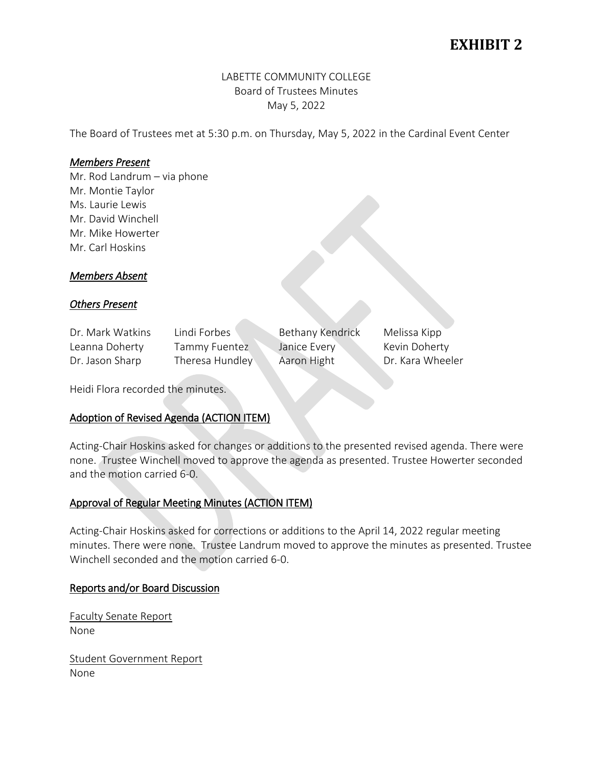# **EXHIBIT 2**

## LABETTE COMMUNITY COLLEGE Board of Trustees Minutes May 5, 2022

The Board of Trustees met at 5:30 p.m. on Thursday, May 5, 2022 in the Cardinal Event Center

## *Members Present*

Mr. Rod Landrum – via phone Mr. Montie Taylor Ms. Laurie Lewis Mr. David Winchell Mr. Mike Howerter Mr. Carl Hoskins

## *Members Absent*

## *Others Present*

Dr. Mark Watkins Lindi Forbes Bethany Kendrick Melissa Kipp Leanna Doherty Tammy Fuentez Janice Every Kevin Doherty

Dr. Jason Sharp Theresa Hundley Aaron Hight Dr. Kara Wheeler

Heidi Flora recorded the minutes.

## Adoption of Revised Agenda (ACTION ITEM)

Acting-Chair Hoskins asked for changes or additions to the presented revised agenda. There were none. Trustee Winchell moved to approve the agenda as presented. Trustee Howerter seconded and the motion carried 6-0.

## Approval of Regular Meeting Minutes (ACTION ITEM)

Acting-Chair Hoskins asked for corrections or additions to the April 14, 2022 regular meeting minutes. There were none. Trustee Landrum moved to approve the minutes as presented. Trustee Winchell seconded and the motion carried 6-0.

## Reports and/or Board Discussion

Faculty Senate Report None

Student Government Report None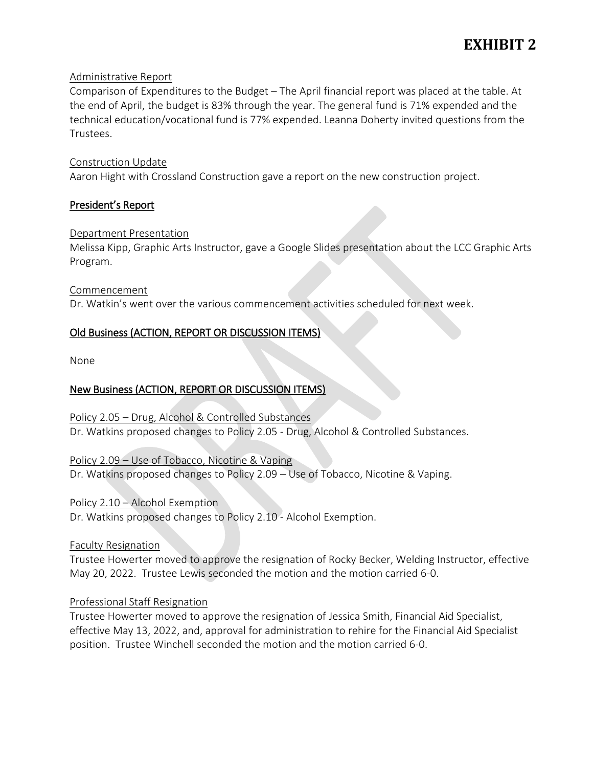## Administrative Report

Comparison of Expenditures to the Budget – The April financial report was placed at the table. At the end of April, the budget is 83% through the year. The general fund is 71% expended and the technical education/vocational fund is 77% expended. Leanna Doherty invited questions from the Trustees.

## Construction Update

Aaron Hight with Crossland Construction gave a report on the new construction project.

## President's Report

## Department Presentation

Melissa Kipp, Graphic Arts Instructor, gave a Google Slides presentation about the LCC Graphic Arts Program.

## Commencement

Dr. Watkin's went over the various commencement activities scheduled for next week.

## Old Business (ACTION, REPORT OR DISCUSSION ITEMS)

None

## New Business (ACTION, REPORT OR DISCUSSION ITEMS)

Policy 2.05 – Drug, Alcohol & Controlled Substances Dr. Watkins proposed changes to Policy 2.05 - Drug, Alcohol & Controlled Substances.

## Policy 2.09 – Use of Tobacco, Nicotine & Vaping

Dr. Watkins proposed changes to Policy 2.09 – Use of Tobacco, Nicotine & Vaping.

Policy 2.10 – Alcohol Exemption

Dr. Watkins proposed changes to Policy 2.10 - Alcohol Exemption.

## Faculty Resignation

Trustee Howerter moved to approve the resignation of Rocky Becker, Welding Instructor, effective May 20, 2022. Trustee Lewis seconded the motion and the motion carried 6-0.

## Professional Staff Resignation

Trustee Howerter moved to approve the resignation of Jessica Smith, Financial Aid Specialist, effective May 13, 2022, and, approval for administration to rehire for the Financial Aid Specialist position. Trustee Winchell seconded the motion and the motion carried 6-0.